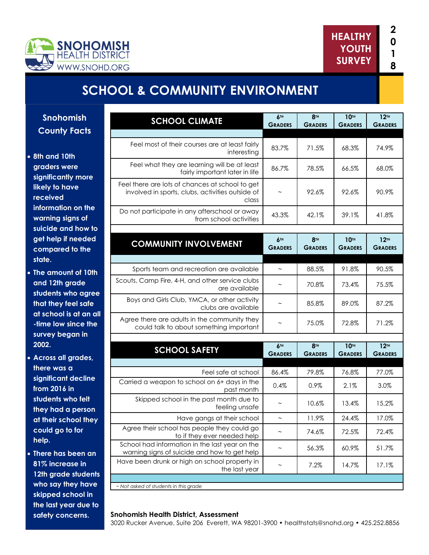

**the last year due to safety concerns.** 



# **SCHOOL & COMMUNITY ENVIRONMENT**

| <b>Snohomish</b>                                              | <b>SCHOOL CLIMATE</b>                                                                                          | 6 <sup>TH</sup><br><b>GRADERS</b> | 8 <sup>TH</sup><br><b>GRADERS</b> | <b>10TH</b><br><b>GRADERS</b>      | 12 <sup>TH</sup><br><b>GRADERS</b> |
|---------------------------------------------------------------|----------------------------------------------------------------------------------------------------------------|-----------------------------------|-----------------------------------|------------------------------------|------------------------------------|
| <b>County Facts</b>                                           |                                                                                                                |                                   |                                   |                                    |                                    |
| • 8th and 10th<br>graders were<br>significantly more          | Feel most of their courses are at least fairly<br>interesting                                                  | 83.7%                             | 71.5%                             | 68.3%                              | 74.9%                              |
|                                                               | Feel what they are learning will be at least<br>fairly important later in life                                 | 86.7%                             | 78.5%                             | 66.5%                              | 68.0%                              |
| likely to have<br>received                                    | Feel there are lots of chances at school to get<br>involved in sports, clubs, activities outside of<br>class   | $\widetilde{\phantom{m}}$         | 92.6%                             | 92.6%                              | 90.9%                              |
| information on the<br>warning signs of<br>suicide and how to  | Do not participate in any afterschool or away<br>from school activities                                        | 43.3%                             | 42.1%                             | 39.1%                              | 41.8%                              |
| get help if needed<br>compared to the                         | <b>COMMUNITY INVOLVEMENT</b>                                                                                   | 6 <sub>TH</sub><br><b>GRADERS</b> | 8 <sup>TH</sup><br><b>GRADERS</b> | 10 <sup>TH</sup><br><b>GRADERS</b> | 12 <sup>TH</sup><br><b>GRADERS</b> |
| state.                                                        | Sports team and recreation are available                                                                       | $\sim$                            | 88.5%                             | 91.8%                              | 90.5%                              |
| • The amount of 10th<br>and 12th grade                        | Scouts, Camp Fire, 4-H, and other service clubs<br>are available                                               | $\widetilde{\phantom{m}}$         | 70.8%                             | 73.4%                              | 75.5%                              |
| students who agree<br>that they feel safe                     | Boys and Girls Club, YMCA, or other activity<br>clubs are available                                            | $\widetilde{\phantom{m}}$         | 85.8%                             | 89.0%                              | 87.2%                              |
| at school is at an all<br>-time low since the                 | Agree there are adults in the community they<br>could talk to about something important                        | $\sim$                            | 75.0%                             | 72.8%                              | 71.2%                              |
| survey began in<br>2002.                                      | <b>SCHOOL SAFETY</b>                                                                                           | 6 <sub>TH</sub><br><b>GRADERS</b> | 8 <sup>TH</sup><br><b>GRADERS</b> | 10 <sup>TH</sup><br><b>GRADERS</b> | 12 <sup>TH</sup><br><b>GRADERS</b> |
| • Across all grades,                                          |                                                                                                                |                                   |                                   |                                    |                                    |
| there was a                                                   | Feel safe at school                                                                                            | 86.4%                             | 79.8%                             | 76.8%                              | 77.0%                              |
| significant decline<br>from 2016 in                           | Carried a weapon to school on 6+ days in the<br>past month                                                     | 0.4%                              | 0.9%                              | 2.1%                               | 3.0%                               |
| students who felt<br>they had a person                        | Skipped school in the past month due to<br>feeling unsafe                                                      | $\sim$                            | 10.6%                             | 13.4%                              | 15.2%                              |
| at their school they                                          | Have gangs at their school                                                                                     | $\thicksim$                       | 11.9%                             | 24.4%                              | 17.0%                              |
| could go to for                                               | Agree their school has people they could go<br>to if they ever needed help                                     | $\widetilde{\phantom{m}}$         | 74.6%                             | 72.5%                              | 72.4%                              |
| help.                                                         | School had information in the last year on the                                                                 | $\tilde{}$                        | 56.3%                             | 60.9%                              | 51.7%                              |
| • There has been an<br>81% increase in                        | warning signs of suicide and how to get help<br>Have been drunk or high on school property in<br>the last year | $\thicksim$                       | 7.2%                              | 14.7%                              | 17.1%                              |
| 12th grade students<br>who say they have<br>skipped school in | ~ Not asked of students in this grade                                                                          |                                   |                                   |                                    |                                    |

#### **Snohomish Health District, Assessment**

3020 Rucker Avenue, Suite 206 Everett, WA 98201-3900 • healthstats@snohd.org • 425.252.8856

**1 8**